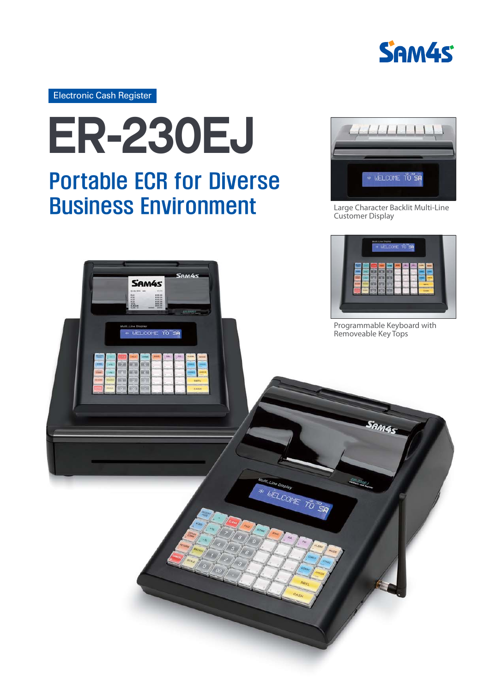

Electronic Cash Register



## **Business Environment**



Large Character Backlit Multi-Line Customer Display